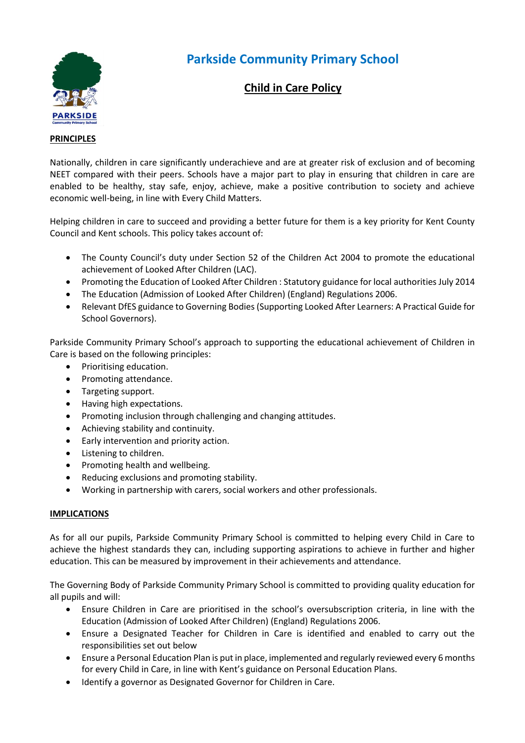

# **Parkside Community Primary School**

# **Child in Care Policy**

#### **PRINCIPLES**

Nationally, children in care significantly underachieve and are at greater risk of exclusion and of becoming NEET compared with their peers. Schools have a major part to play in ensuring that children in care are enabled to be healthy, stay safe, enjoy, achieve, make a positive contribution to society and achieve economic well-being, in line with Every Child Matters.

Helping children in care to succeed and providing a better future for them is a key priority for Kent County Council and Kent schools. This policy takes account of:

- The County Council's duty under Section 52 of the Children Act 2004 to promote the educational achievement of Looked After Children (LAC).
- Promoting the Education of Looked After Children : Statutory guidance for local authorities July 2014
- The Education (Admission of Looked After Children) (England) Regulations 2006.
- Relevant DfES guidance to Governing Bodies (Supporting Looked After Learners: A Practical Guide for School Governors).

Parkside Community Primary School's approach to supporting the educational achievement of Children in Care is based on the following principles:

- Prioritising education.
- Promoting attendance.
- Targeting support.
- Having high expectations.
- Promoting inclusion through challenging and changing attitudes.
- Achieving stability and continuity.
- Early intervention and priority action.
- Listening to children.
- Promoting health and wellbeing.
- Reducing exclusions and promoting stability.
- Working in partnership with carers, social workers and other professionals.

#### **IMPLICATIONS**

As for all our pupils, Parkside Community Primary School is committed to helping every Child in Care to achieve the highest standards they can, including supporting aspirations to achieve in further and higher education. This can be measured by improvement in their achievements and attendance.

The Governing Body of Parkside Community Primary School is committed to providing quality education for all pupils and will:

- Ensure Children in Care are prioritised in the school's oversubscription criteria, in line with the Education (Admission of Looked After Children) (England) Regulations 2006.
- Ensure a Designated Teacher for Children in Care is identified and enabled to carry out the responsibilities set out below
- Ensure a Personal Education Plan is put in place, implemented and regularly reviewed every 6 months for every Child in Care, in line with Kent's guidance on Personal Education Plans.
- Identify a governor as Designated Governor for Children in Care.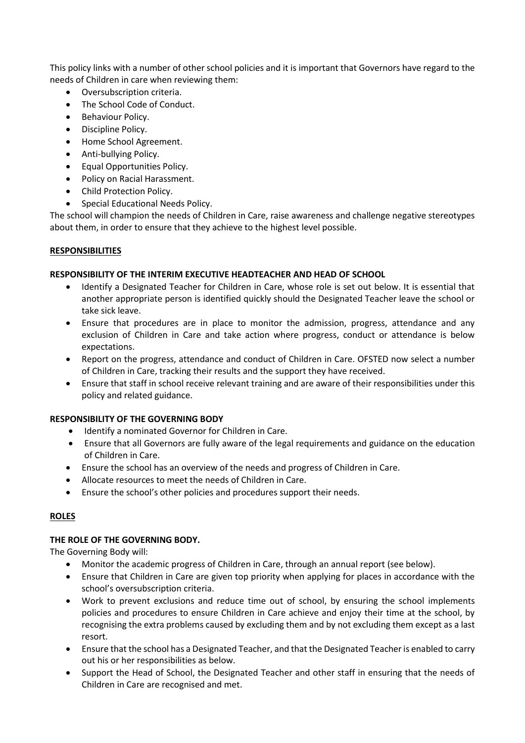This policy links with a number of other school policies and it is important that Governors have regard to the needs of Children in care when reviewing them:

- Oversubscription criteria.
- The School Code of Conduct.
- Behaviour Policy.
- Discipline Policy.
- Home School Agreement.
- Anti-bullying Policy.
- Equal Opportunities Policy.
- Policy on Racial Harassment.
- Child Protection Policy.
- Special Educational Needs Policy.

The school will champion the needs of Children in Care, raise awareness and challenge negative stereotypes about them, in order to ensure that they achieve to the highest level possible.

## **RESPONSIBILITIES**

#### **RESPONSIBILITY OF THE INTERIM EXECUTIVE HEADTEACHER AND HEAD OF SCHOOL**

- Identify a Designated Teacher for Children in Care, whose role is set out below. It is essential that another appropriate person is identified quickly should the Designated Teacher leave the school or take sick leave.
- Ensure that procedures are in place to monitor the admission, progress, attendance and any exclusion of Children in Care and take action where progress, conduct or attendance is below expectations.
- Report on the progress, attendance and conduct of Children in Care. OFSTED now select a number of Children in Care, tracking their results and the support they have received.
- Ensure that staff in school receive relevant training and are aware of their responsibilities under this policy and related guidance.

## **RESPONSIBILITY OF THE GOVERNING BODY**

- Identify a nominated Governor for Children in Care.
- Ensure that all Governors are fully aware of the legal requirements and guidance on the education of Children in Care.
- Ensure the school has an overview of the needs and progress of Children in Care.
- Allocate resources to meet the needs of Children in Care.
- Ensure the school's other policies and procedures support their needs.

## **ROLES**

## **THE ROLE OF THE GOVERNING BODY.**

The Governing Body will:

- Monitor the academic progress of Children in Care, through an annual report (see below).
- Ensure that Children in Care are given top priority when applying for places in accordance with the school's oversubscription criteria.
- Work to prevent exclusions and reduce time out of school, by ensuring the school implements policies and procedures to ensure Children in Care achieve and enjoy their time at the school, by recognising the extra problems caused by excluding them and by not excluding them except as a last resort.
- Ensure that the school has a Designated Teacher, and that the Designated Teacher is enabled to carry out his or her responsibilities as below.
- Support the Head of School, the Designated Teacher and other staff in ensuring that the needs of Children in Care are recognised and met.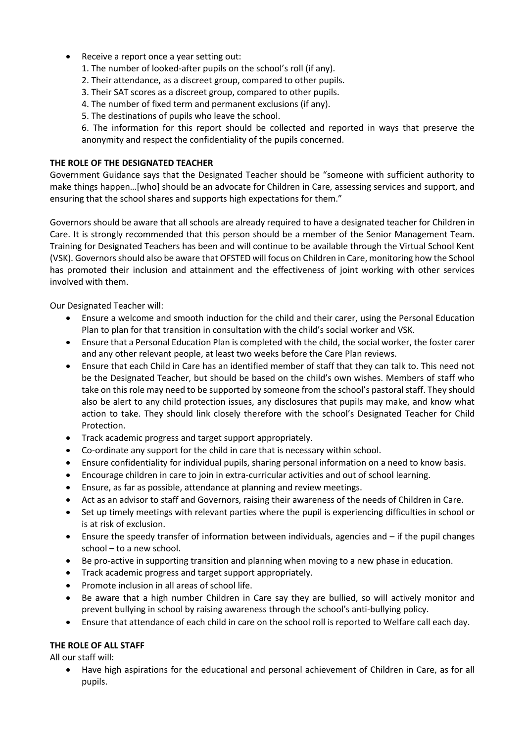- Receive a report once a year setting out:
	- 1. The number of looked-after pupils on the school's roll (if any).
	- 2. Their attendance, as a discreet group, compared to other pupils.
	- 3. Their SAT scores as a discreet group, compared to other pupils.
	- 4. The number of fixed term and permanent exclusions (if any).
	- 5. The destinations of pupils who leave the school.

6. The information for this report should be collected and reported in ways that preserve the anonymity and respect the confidentiality of the pupils concerned.

## **THE ROLE OF THE DESIGNATED TEACHER**

Government Guidance says that the Designated Teacher should be "someone with sufficient authority to make things happen…[who] should be an advocate for Children in Care, assessing services and support, and ensuring that the school shares and supports high expectations for them."

Governors should be aware that all schools are already required to have a designated teacher for Children in Care. It is strongly recommended that this person should be a member of the Senior Management Team. Training for Designated Teachers has been and will continue to be available through the Virtual School Kent (VSK). Governors should also be aware that OFSTED will focus on Children in Care, monitoring how the School has promoted their inclusion and attainment and the effectiveness of joint working with other services involved with them.

Our Designated Teacher will:

- Ensure a welcome and smooth induction for the child and their carer, using the Personal Education Plan to plan for that transition in consultation with the child's social worker and VSK.
- Ensure that a Personal Education Plan is completed with the child, the social worker, the foster carer and any other relevant people, at least two weeks before the Care Plan reviews.
- Ensure that each Child in Care has an identified member of staff that they can talk to. This need not be the Designated Teacher, but should be based on the child's own wishes. Members of staff who take on this role may need to be supported by someone from the school's pastoral staff. They should also be alert to any child protection issues, any disclosures that pupils may make, and know what action to take. They should link closely therefore with the school's Designated Teacher for Child Protection.
- Track academic progress and target support appropriately.
- Co-ordinate any support for the child in care that is necessary within school.
- Ensure confidentiality for individual pupils, sharing personal information on a need to know basis.
- Encourage children in care to join in extra-curricular activities and out of school learning.
- Ensure, as far as possible, attendance at planning and review meetings.
- Act as an advisor to staff and Governors, raising their awareness of the needs of Children in Care.
- Set up timely meetings with relevant parties where the pupil is experiencing difficulties in school or is at risk of exclusion.
- Ensure the speedy transfer of information between individuals, agencies and if the pupil changes school – to a new school.
- Be pro-active in supporting transition and planning when moving to a new phase in education.
- Track academic progress and target support appropriately.
- Promote inclusion in all areas of school life.
- Be aware that a high number Children in Care say they are bullied, so will actively monitor and prevent bullying in school by raising awareness through the school's anti-bullying policy.
- Ensure that attendance of each child in care on the school roll is reported to Welfare call each day.

## **THE ROLE OF ALL STAFF**

All our staff will:

 Have high aspirations for the educational and personal achievement of Children in Care, as for all pupils.